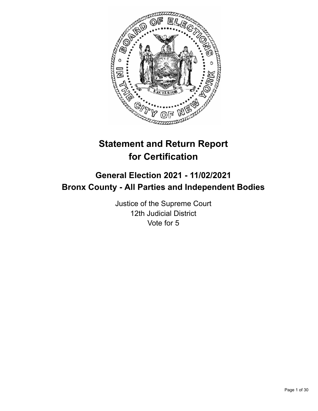

# **Statement and Return Report for Certification**

## **General Election 2021 - 11/02/2021 Bronx County - All Parties and Independent Bodies**

Justice of the Supreme Court 12th Judicial District Vote for 5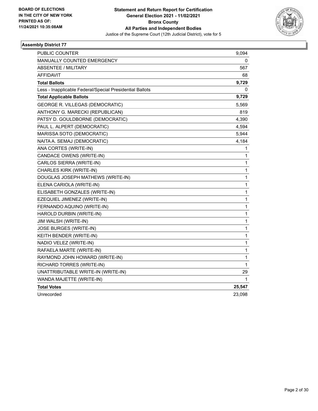

| PUBLIC COUNTER                                           | 9,094        |
|----------------------------------------------------------|--------------|
| <b>MANUALLY COUNTED EMERGENCY</b>                        | 0            |
| <b>ABSENTEE / MILITARY</b>                               | 567          |
| AFFIDAVIT                                                | 68           |
| <b>Total Ballots</b>                                     | 9,729        |
| Less - Inapplicable Federal/Special Presidential Ballots | 0            |
| <b>Total Applicable Ballots</b>                          | 9,729        |
| GEORGE R. VILLEGAS (DEMOCRATIC)                          | 5,569        |
| ANTHONY G. MARECKI (REPUBLICAN)                          | 819          |
| PATSY D. GOULDBORNE (DEMOCRATIC)                         | 4,390        |
| PAUL L. ALPERT (DEMOCRATIC)                              | 4,594        |
| MARISSA SOTO (DEMOCRATIC)                                | 5,944        |
| NAITA A. SEMAJ (DEMOCRATIC)                              | 4,184        |
| ANA CORTES (WRITE-IN)                                    | 1            |
| CANDACE OWENS (WRITE-IN)                                 | 1            |
| CARLOS SIERRA (WRITE-IN)                                 | 1            |
| CHARLES KIRK (WRITE-IN)                                  | 1            |
| DOUGLAS JOSEPH MATHEWS (WRITE-IN)                        | 1            |
| ELENA CARIOLA (WRITE-IN)                                 | 1            |
| ELISABETH GONZALES (WRITE-IN)                            | $\mathbf{1}$ |
| EZEQUIEL JIMENEZ (WRITE-IN)                              | 1            |
| FERNANDO AQUINO (WRITE-IN)                               | 1            |
| HAROLD DURBIN (WRITE-IN)                                 | 1            |
| JIM WALSH (WRITE-IN)                                     | 1            |
| JOSE BURGES (WRITE-IN)                                   | 1            |
| KEITH BENDER (WRITE-IN)                                  | $\mathbf{1}$ |
| NADIO VELEZ (WRITE-IN)                                   | 1            |
| RAFAELA MARTE (WRITE-IN)                                 | 1            |
| RAYMOND JOHN HOWARD (WRITE-IN)                           | 1            |
| RICHARD TORRES (WRITE-IN)                                | 1            |
| UNATTRIBUTABLE WRITE-IN (WRITE-IN)                       | 29           |
| WANDA MAJETTE (WRITE-IN)                                 | 1            |
| <b>Total Votes</b>                                       | 25,547       |
| Unrecorded                                               | 23,098       |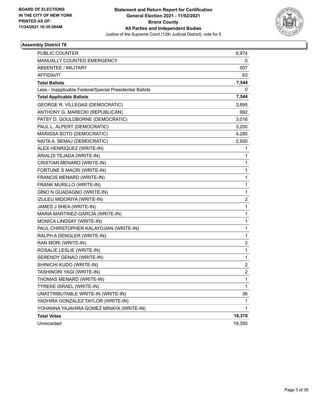

| <b>PUBLIC COUNTER</b>                                    | 6,974          |
|----------------------------------------------------------|----------------|
| MANUALLY COUNTED EMERGENCY                               | 0              |
| ABSENTEE / MILITARY                                      | 507            |
| AFFIDAVIT                                                | 63             |
| <b>Total Ballots</b>                                     | 7,544          |
| Less - Inapplicable Federal/Special Presidential Ballots | 0              |
| <b>Total Applicable Ballots</b>                          | 7,544          |
| <b>GEORGE R. VILLEGAS (DEMOCRATIC)</b>                   | 3,895          |
| ANTHONY G. MARECKI (REPUBLICAN)                          | 992            |
| PATSY D. GOULDBORNE (DEMOCRATIC)                         | 3,016          |
| PAUL L. ALPERT (DEMOCRATIC)                              | 3,200          |
| MARISSA SOTO (DEMOCRATIC)                                | 4,285          |
| NAITA A. SEMAJ (DEMOCRATIC)                              | 2,920          |
| ALEX HENRIQUEZ (WRITE-IN)                                | 1              |
| ARIALDI TEJADA (WRITE-IN)                                | 1              |
| CRISTIAN MENARD (WRITE-IN)                               | 1              |
| FORTUNE S MACRI (WRITE-IN)                               | 1              |
| FRANCIS MENARD (WRITE-IN)                                | 1              |
| FRANK MURILLO (WRITE-IN)                                 | 1              |
| GINO N GUADAGNO (WRITE-IN)                               | 1              |
| IZULEU MIDORIYA (WRITE-IN)                               | 2              |
| JAMES J SHEA (WRITE-IN)                                  | 1              |
| MARIA MARTINEZ-GARCIA (WRITE-IN)                         | 1              |
| MONICA LINDSAY (WRITE-IN)                                | 1              |
| PAUL CHIRSTOPHER KALAYDJIAN (WRITE-IN)                   | 1              |
| RALPH A DENGLER (WRITE-IN)                               | 1              |
| RAN MORI (WRITE-IN)                                      | 2              |
| ROSALIE LESLIE (WRITE-IN)                                | 1              |
| SERENDY GENAO (WRITE-IN)                                 | 1              |
| SHINICHI KUDO (WRITE-IN)                                 | 2              |
| TASHINORI YAGI (WRITE-IN)                                | $\overline{c}$ |
| THOMAS MENARD (WRITE-IN)                                 | 1              |
| TYREKE ISRAEL (WRITE-IN)                                 | 1              |
| UNATTRIBUTABLE WRITE-IN (WRITE-IN)                       | 36             |
| YADHIRA GONZALEZ TAYLOR (WRITE-IN)                       | 1              |
| YOHANNA YAJAHIRA GOMEZ MINAYA (WRITE-IN)                 | 1              |
| <b>Total Votes</b>                                       | 18,370         |
| Unrecorded                                               | 19,350         |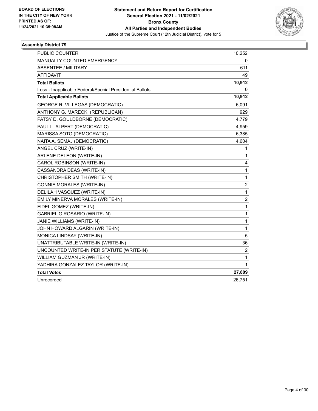

| PUBLIC COUNTER                                           | 10,252                  |
|----------------------------------------------------------|-------------------------|
| MANUALLY COUNTED EMERGENCY                               | 0                       |
| ABSENTEE / MILITARY                                      | 611                     |
| <b>AFFIDAVIT</b>                                         | 49                      |
| <b>Total Ballots</b>                                     | 10,912                  |
| Less - Inapplicable Federal/Special Presidential Ballots | 0                       |
| <b>Total Applicable Ballots</b>                          | 10,912                  |
| <b>GEORGE R. VILLEGAS (DEMOCRATIC)</b>                   | 6,091                   |
| ANTHONY G. MARECKI (REPUBLICAN)                          | 929                     |
| PATSY D. GOULDBORNE (DEMOCRATIC)                         | 4,779                   |
| PAUL L. ALPERT (DEMOCRATIC)                              | 4,959                   |
| MARISSA SOTO (DEMOCRATIC)                                | 6,385                   |
| NAITA A. SEMAJ (DEMOCRATIC)                              | 4,604                   |
| ANGEL CRUZ (WRITE-IN)                                    | 1                       |
| ARLENE DELEON (WRITE-IN)                                 | $\mathbf{1}$            |
| CAROL ROBINSON (WRITE-IN)                                | 4                       |
| CASSANDRA DEAS (WRITE-IN)                                | 1                       |
| CHRISTOPHER SMITH (WRITE-IN)                             | $\mathbf{1}$            |
| CONNIE MORALES (WRITE-IN)                                | $\overline{c}$          |
| DELILAH VASQUEZ (WRITE-IN)                               | $\mathbf{1}$            |
| EMILY MINERVA MORALES (WRITE-IN)                         | $\overline{\mathbf{c}}$ |
| FIDEL GOMEZ (WRITE-IN)                                   | $\mathbf 1$             |
| GABRIEL G ROSARIO (WRITE-IN)                             | $\mathbf{1}$            |
| JANIE WILLIAMS (WRITE-IN)                                | $\mathbf{1}$            |
| JOHN HOWARD ALGARIN (WRITE-IN)                           | $\mathbf 1$             |
| MONICA LINDSAY (WRITE-IN)                                | 5                       |
| UNATTRIBUTABLE WRITE-IN (WRITE-IN)                       | 36                      |
| UNCOUNTED WRITE-IN PER STATUTE (WRITE-IN)                | $\overline{\mathbf{c}}$ |
| WILLIAM GUZMAN JR (WRITE-IN)                             | $\mathbf{1}$            |
| YADHIRA GONZALEZ TAYLOR (WRITE-IN)                       | 1                       |
| <b>Total Votes</b>                                       | 27,809                  |
| Unrecorded                                               | 26,751                  |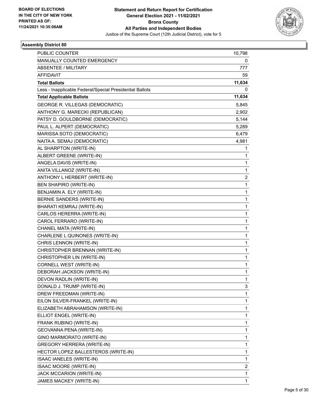

| PUBLIC COUNTER                                           | 10,798 |
|----------------------------------------------------------|--------|
| MANUALLY COUNTED EMERGENCY                               | 0      |
| <b>ABSENTEE / MILITARY</b>                               | 777    |
| <b>AFFIDAVIT</b>                                         | 59     |
| <b>Total Ballots</b>                                     | 11,634 |
| Less - Inapplicable Federal/Special Presidential Ballots | 0      |
| <b>Total Applicable Ballots</b>                          | 11,634 |
| GEORGE R. VILLEGAS (DEMOCRATIC)                          | 5,845  |
| ANTHONY G. MARECKI (REPUBLICAN)                          | 2,902  |
| PATSY D. GOULDBORNE (DEMOCRATIC)                         | 5,144  |
| PAUL L. ALPERT (DEMOCRATIC)                              | 5,289  |
| MARISSA SOTO (DEMOCRATIC)                                | 6,479  |
| NAITA A. SEMAJ (DEMOCRATIC)                              | 4,981  |
| AL SHARPTON (WRITE-IN)                                   | 1      |
| ALBERT GREENE (WRITE-IN)                                 | 1      |
| ANGELA DAVIS (WRITE-IN)                                  | 1      |
| ANITA VILLANOZ (WRITE-IN)                                | 1      |
| ANTHONY L HERBERT (WRITE-IN)                             | 2      |
| <b>BEN SHAPIRO (WRITE-IN)</b>                            | 1      |
| BENJAMIN A. ELY (WRITE-IN)                               | 1      |
| BERNIE SANDERS (WRITE-IN)                                | 1      |
| BHARATI KEMRAJ (WRITE-IN)                                | 1      |
| CARLOS HERERRA (WRITE-IN)                                | 1      |
| CAROL FERRARO (WRITE-IN)                                 | 1      |
| CHANEL MATA (WRITE-IN)                                   | 1      |
| CHARLENE L QUINONES (WRITE-IN)                           | 1      |
| CHRIS LENNON (WRITE-IN)                                  | 1      |
| CHRISTOPHER BRENNAN (WRITE-IN)                           | 1      |
| CHRISTOPHER LIN (WRITE-IN)                               | 1      |
| CORNELL WEST (WRITE-IN)                                  | 1      |
| DEBORAH JACKSON (WRITE-IN)                               | 1      |
| DEVON RADLIN (WRITE-IN)                                  | 1      |
| DONALD J. TRUMP (WRITE-IN)                               | 3      |
| DREW FREEDMAN (WRITE-IN)                                 | 1      |
| EILON SILVER-FRANKEL (WRITE-IN)                          | 1      |
| ELIZABETH ABRAHAMSON (WRITE-IN)                          | 1      |
| ELLIOT ENGEL (WRITE-IN)                                  | 1      |
| FRANK RUBINO (WRITE-IN)                                  | 1      |
| GEOVANNA PENA (WRITE-IN)                                 | 1      |
| GINO MARMORATO (WRITE-IN)                                | 1      |
| GREGORY HERRERA (WRITE-IN)                               | 1      |
| HECTOR LOPEZ BALLESTEROS (WRITE-IN)                      | 1      |
| ISAAC IANELES (WRITE-IN)                                 | 1      |
| ISAAC MOORE (WRITE-IN)                                   | 2      |
| JACK MCCARION (WRITE-IN)                                 | 1      |
| JAMES MACKEY (WRITE-IN)                                  | 1      |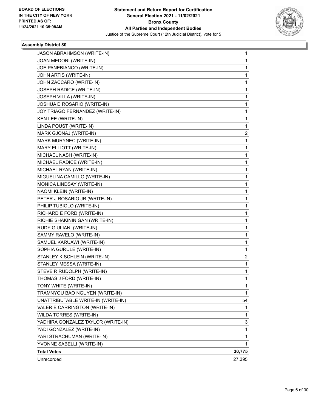

| JASON ABRAHMSON (WRITE-IN)         | 1           |
|------------------------------------|-------------|
| JOAN MEDORI (WRITE-IN)             | 1           |
| JOE PANEBIANCO (WRITE-IN)          | 1           |
| JOHN ARTIS (WRITE-IN)              | $\mathbf 1$ |
| JOHN ZACCARO (WRITE-IN)            | 1           |
| JOSEPH RADICE (WRITE-IN)           | 1           |
| JOSEPH VILLA (WRITE-IN)            | 1           |
| JOSHUA D ROSARIO (WRITE-IN)        | 1           |
| JOY TRIAGO FERNANDEZ (WRITE-IN)    | 1           |
| KEN LEE (WRITE-IN)                 | $\mathbf 1$ |
| LINDA POUST (WRITE-IN)             | 1           |
| MARK GJONAJ (WRITE-IN)             | 2           |
| MARK MURYNEC (WRITE-IN)            | 1           |
| MARY ELLIOTT (WRITE-IN)            | 1           |
| MICHAEL NASH (WRITE-IN)            | 1           |
| MICHAEL RADICE (WRITE-IN)          | $\mathbf 1$ |
| MICHAEL RYAN (WRITE-IN)            | 1           |
| MIGUELINA CAMILLO (WRITE-IN)       | 1           |
| MONICA LINDSAY (WRITE-IN)          | 1           |
| NAOMI KLEIN (WRITE-IN)             | 1           |
| PETER J ROSARIO JR (WRITE-IN)      | 1           |
| PHILIP TUBIOLO (WRITE-IN)          | $\mathbf 1$ |
| RICHARD E FORD (WRITE-IN)          | 1           |
| RICHIE SHAKININIGAN (WRITE-IN)     | 1           |
| RUDY GIULIANI (WRITE-IN)           | 1           |
| SAMMY RAVELO (WRITE-IN)            | 1           |
| SAMUEL KARUAWI (WRITE-IN)          | 1           |
| SOPHIA GURULE (WRITE-IN)           | 1           |
| STANLEY K SCHLEIN (WRITE-IN)       | 2           |
| STANLEY MESSA (WRITE-IN)           | 1           |
| STEVE R RUDOLPH (WRITE-IN)         | 1           |
| THOMAS J FORD (WRITE-IN)           | 1           |
| TONY WHITE (WRITE-IN)              | 1           |
| TRAMNYOU BAO NGUYEN (WRITE-IN)     | 1           |
| UNATTRIBUTABLE WRITE-IN (WRITE-IN) | 54          |
| VALERIE CARRINGTON (WRITE-IN)      | 1           |
| WILDA TORRES (WRITE-IN)            | 1           |
| YADHIRA GONZALEZ TAYLOR (WRITE-IN) | 3           |
| YADI GONZALEZ (WRITE-IN)           | 1           |
| YARI STRACHUMAN (WRITE-IN)         | 1           |
| YVONNE SABELLI (WRITE-IN)          | 1           |
| <b>Total Votes</b>                 | 30,775      |
| Unrecorded                         | 27,395      |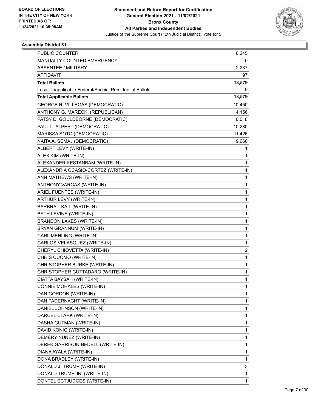

| PUBLIC COUNTER                                           | 16,245       |
|----------------------------------------------------------|--------------|
| MANUALLY COUNTED EMERGENCY                               | 0            |
| <b>ABSENTEE / MILITARY</b>                               | 2,237        |
| <b>AFFIDAVIT</b>                                         | 97           |
| <b>Total Ballots</b>                                     | 18,579       |
| Less - Inapplicable Federal/Special Presidential Ballots | 0            |
| <b>Total Applicable Ballots</b>                          | 18,579       |
| GEORGE R. VILLEGAS (DEMOCRATIC)                          | 10,450       |
| ANTHONY G. MARECKI (REPUBLICAN)                          | 4,156        |
| PATSY D. GOULDBORNE (DEMOCRATIC)                         | 10,018       |
| PAUL L. ALPERT (DEMOCRATIC)                              | 10,280       |
| MARISSA SOTO (DEMOCRATIC)                                | 11,426       |
| NAITA A. SEMAJ (DEMOCRATIC)                              | 9,660        |
| ALBERT LEVY (WRITE-IN)                                   | 1            |
| ALEX KIM (WRITE-IN)                                      | 1            |
| ALEXANDER KESTANBAM (WRITE-IN)                           | 1            |
| ALEXANDRIA OCASIO-CORTEZ (WRITE-IN)                      | 1            |
| ANN MATHEWS (WRITE-IN)                                   | 1            |
| ANTHONY VARGAS (WRITE-IN)                                | 1            |
| ARIEL FUENTES (WRITE-IN)                                 | 1            |
| ARTHUR LEVY (WRITE-IN)                                   | 1            |
| BARBRA L KAIL (WRITE-IN)                                 | 1            |
| BETH LEVINE (WRITE-IN)                                   | 1            |
| <b>BRANDON LAKES (WRITE-IN)</b>                          | 1            |
| BRYAN GRANNUM (WRITE-IN)                                 | 1            |
| CARL MEHLING (WRITE-IN)                                  | $\mathbf{1}$ |
| CARLOS VELASQUEZ (WRITE-IN)                              | 1            |
| CHERYL CHIOVETTA (WRITE-IN)                              | 2            |
| CHRIS CUOMO (WRITE-IN)                                   | $\mathbf{1}$ |
| CHRISTOPHER BURKE (WRITE-IN)                             | 1            |
| CHRISTOPHER GUTTADARO (WRITE-IN)                         | 1            |
| CIATTA BAYSAH (WRITE-IN)                                 | 1            |
| CONNIE MORALES (WRITE-IN)                                | 1            |
| DAN GORDON (WRITE-IN)                                    | 1            |
| DAN PADERNACHT (WRITE-IN)                                | 1            |
| DANIEL JOHNSON (WRITE-IN)                                | 1            |
| DARCEL CLARK (WRITE-IN)                                  | 1            |
| DASHA GUTMAN (WRITE-IN)                                  | 1            |
| DAVID KONIG (WRITE-IN)                                   | 1            |
| DEMERY NUNEZ (WRITE-IN)                                  | 1            |
| DEREK GARRISON-BEDELL (WRITE-IN)                         | 1            |
| DIANA AYALA (WRITE-IN)                                   | 1            |
| DONA BRADLEY (WRITE-IN)                                  | 1            |
| DONALD J. TRUMP (WRITE-IN)                               | 3            |
| DONALD TRUMP JR. (WRITE-IN)                              | 1            |
| DONTEL ECTJUDGES (WRITE-IN)                              | 1            |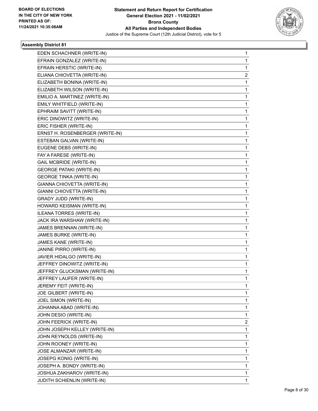

| EDEN SCHACHNER (WRITE-IN)       | $\mathbf{1}$ |
|---------------------------------|--------------|
| EFRAIN GONZALEZ (WRITE-IN)      | 1            |
| EFRAIN HERSTIC (WRITE-IN)       | 1            |
| ELIANA CHIOVETTA (WRITE-IN)     | 2            |
| ELIZABETH BONINA (WRITE-IN)     | 1            |
| ELIZABETH WILSON (WRITE-IN)     | 1            |
| EMILIO A. MARTINEZ (WRITE-IN)   | 1            |
| EMILY WHITFIELD (WRITE-IN)      | 1            |
| EPHRAIM SAVITT (WRITE-IN)       | 1            |
| ERIC DINOWITZ (WRITE-IN)        | 1            |
| ERIC FISHER (WRITE-IN)          | 1            |
| ERNST H. ROSENBERGER (WRITE-IN) | 1            |
| ESTEBAN GALVAN (WRITE-IN)       | 1            |
| EUGENE DEBS (WRITE-IN)          | 1            |
| FAY A FARESE (WRITE-IN)         | 1            |
| <b>GAIL MCBRIDE (WRITE-IN)</b>  | 1            |
| <b>GEORGE PATAKI (WRITE-IN)</b> | 1            |
| <b>GEORGE TINKA (WRITE-IN)</b>  | 1            |
| GIANNA CHIOVETTA (WRITE-IN)     | 1            |
| GIANNI CHIOVETTA (WRITE-IN)     | 1            |
| <b>GRADY JUDD (WRITE-IN)</b>    | 1            |
| HOWARD KEISMAN (WRITE-IN)       | 1            |
| ILEANA TORRES (WRITE-IN)        | 1            |
| JACK IRA WARSHAW (WRITE-IN)     | 1            |
| JAMES BRENNAN (WRITE-IN)        | 1            |
| JAMES BURKE (WRITE-IN)          | 1            |
| JAMES KANE (WRITE-IN)           | 1            |
| JANINE PIRRO (WRITE-IN)         | 1            |
| JAVIER HIDALGO (WRITE-IN)       | 1            |
| JEFFREY DINOWITZ (WRITE-IN)     | 1            |
| JEFFREY GLUCKSMAN (WRITE-IN)    | 1            |
| JEFFREY LAUFER (WRITE-IN)       | 1            |
| JEREMY FEIT (WRITE-IN)          | 1            |
| JOE GILBERT (WRITE-IN)          | 1            |
| JOEL SIMON (WRITE-IN)           | 1            |
| JOHANNA ABAD (WRITE-IN)         | 1            |
| JOHN DESIO (WRITE-IN)           | 1            |
| JOHN FEERICK (WRITE-IN)         | 2            |
| JOHN JOSEPH KELLEY (WRITE-IN)   | 1            |
| JOHN REYNOLDS (WRITE-IN)        | 1            |
| JOHN ROONEY (WRITE-IN)          | 1            |
| JOSE ALMANZAR (WRITE-IN)        | 1            |
| JOSEPG KONIG (WRITE-IN)         | 1            |
| JOSEPH A. BONDY (WRITE-IN)      | 1            |
| JOSHUA ZAKHAROV (WRITE-IN)      | 1            |
| JUDITH SCHIENLIN (WRITE-IN)     | 1            |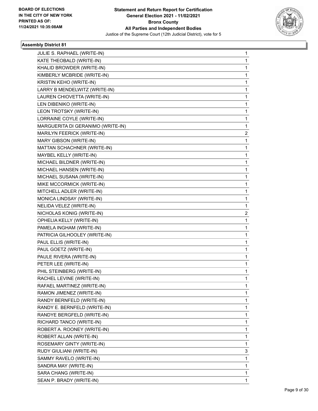

٠

| JULIE S. RAPHAEL (WRITE-IN)       | 1            |
|-----------------------------------|--------------|
| KATE THEOBALD (WRITE-IN)          | 1            |
| KHALID BROWDER (WRITE-IN)         | 1            |
| KIMBERLY MCBRIDE (WRITE-IN)       | 1            |
| KRISTIN KEHO (WRITE-IN)           | 1            |
| LARRY B MENDELWITZ (WRITE-IN)     | 1            |
| LAUREN CHIOVETTA (WRITE-IN)       | 1            |
| LEN DIBENIKO (WRITE-IN)           | 1            |
| LEON TROTSKY (WRITE-IN)           | 1            |
| LORRAINE COYLE (WRITE-IN)         | 1            |
| MARGUERITA DI GERANIMO (WRITE-IN) | 1            |
| MARILYN FEERICK (WRITE-IN)        | 2            |
| MARY GIBSON (WRITE-IN)            | 1            |
| MATTAN SCHACHNER (WRITE-IN)       | 1            |
| MAYBEL KELLY (WRITE-IN)           | 1            |
| MICHAEL BILDNER (WRITE-IN)        | 1            |
| MICHAEL HANSEN (WRITE-IN)         | 1            |
| MICHAEL SUSANA (WRITE-IN)         | 1            |
| MIKE MCCORMICK (WRITE-IN)         | 1            |
| MITCHELL ADLER (WRITE-IN)         | 1            |
| MONICA LINDSAY (WRITE-IN)         | 1            |
| NELIDA VELEZ (WRITE-IN)           | 1            |
| NICHOLAS KONIG (WRITE-IN)         | 2            |
| OPHELIA KELLY (WRITE-IN)          | 1            |
| PAMELA INGHAM (WRITE-IN)          | 1            |
| PATRICIA GILHOOLEY (WRITE-IN)     | 1            |
| PAUL ELLIS (WRITE-IN)             | 1            |
| PAUL GOETZ (WRITE-IN)             | 1            |
| PAULE RIVERA (WRITE-IN)           | 1            |
| PETER LEE (WRITE-IN)              | 1            |
| PHIL STEINBERG (WRITE-IN)         | 1            |
| RACHEL LEVINE (WRITE-IN)          | 1            |
| RAFAEL MARTINEZ (WRITE-IN)        | 1            |
| RAMON JIMENEZ (WRITE-IN)          | 1            |
| RANDY BERNFELD (WRITE-IN)         | 1            |
| RANDY E. BERNFELD (WRITE-IN)      | 1            |
| RANDYE BERGFELD (WRITE-IN)        | 1            |
| RICHARD TANCO (WRITE-IN)          | 1            |
| ROBERT A. ROONEY (WRITE-IN)       | 1            |
| ROBERT ALLAN (WRITE-IN)           | 1            |
| ROSEMARY GINTY (WRITE-IN)         | 1            |
| RUDY GIULIANI (WRITE-IN)          | 3            |
| SAMMY RAVELO (WRITE-IN)           | 1            |
| SANDRA MAY (WRITE-IN)             | 1            |
| SARA CHANG (WRITE-IN)             | 1            |
| SEAN P. BRADY (WRITE-IN)          | $\mathbf{1}$ |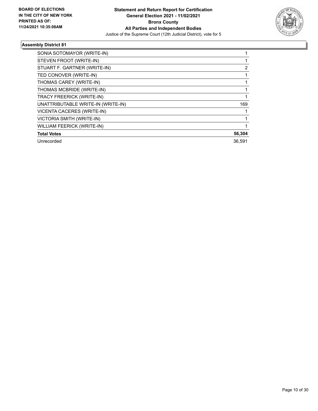

| SONIA SOTOMAYOR (WRITE-IN)         |        |
|------------------------------------|--------|
| STEVEN FROOT (WRITE-IN)            |        |
| STUART F. GARTNER (WRITE-IN)       | 2      |
| TED CONOVER (WRITE-IN)             |        |
| THOMAS CAREY (WRITE-IN)            |        |
| THOMAS MCBRIDE (WRITE-IN)          |        |
| TRACY FREERICK (WRITE-IN)          |        |
| UNATTRIBUTABLE WRITE-IN (WRITE-IN) | 169    |
| <b>VICENTA CACERES (WRITE-IN)</b>  |        |
| <b>VICTORIA SMITH (WRITE-IN)</b>   |        |
| <b>WILLIAM FEERICK (WRITE-IN)</b>  |        |
| <b>Total Votes</b>                 | 56,304 |
| Unrecorded                         | 36,591 |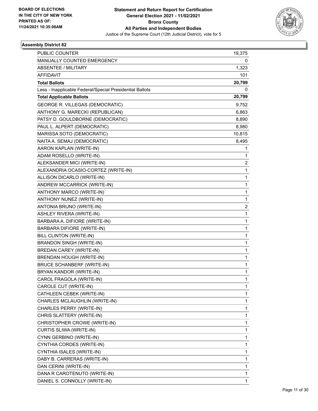

| PUBLIC COUNTER                                           | 19,375       |
|----------------------------------------------------------|--------------|
| MANUALLY COUNTED EMERGENCY                               | 0            |
| <b>ABSENTEE / MILITARY</b>                               | 1,323        |
| <b>AFFIDAVIT</b>                                         | 101          |
| <b>Total Ballots</b>                                     | 20,799       |
| Less - Inapplicable Federal/Special Presidential Ballots | 0            |
| <b>Total Applicable Ballots</b>                          | 20,799       |
| GEORGE R. VILLEGAS (DEMOCRATIC)                          | 9,752        |
| ANTHONY G. MARECKI (REPUBLICAN)                          | 6,863        |
| PATSY D. GOULDBORNE (DEMOCRATIC)                         | 8,890        |
| PAUL L. ALPERT (DEMOCRATIC)                              | 8,980        |
| MARISSA SOTO (DEMOCRATIC)                                | 10,815       |
| NAITA A. SEMAJ (DEMOCRATIC)                              | 8,495        |
| AARON KAPLAN (WRITE-IN)                                  | 1            |
| ADAM ROSELLO (WRITE-IN)                                  | 1            |
| ALEKSANDER MICI (WRITE-IN)                               | 2            |
| ALEXANDRIA OCASIO-CORTEZ (WRITE-IN)                      | $\mathbf{1}$ |
| ALLISON DICARLO (WRITE-IN)                               | 1            |
| ANDREW MCCARRICK (WRITE-IN)                              | $\mathbf{1}$ |
| ANTHONY MARCO (WRITE-IN)                                 | $\mathbf{1}$ |
| ANTHONY NUNEZ (WRITE-IN)                                 | 1            |
| ANTONIA BRUNO (WRITE-IN)                                 | 2            |
| ASHLEY RIVERA (WRITE-IN)                                 | $\mathbf{1}$ |
| BARBARA A. DIFIORE (WRITE-IN)                            | 1            |
| BARBARA DIFIORE (WRITE-IN)                               | $\mathbf{1}$ |
| BILL CLINTON (WRITE-IN)                                  | $\mathbf{1}$ |
| <b>BRANDON SINGH (WRITE-IN)</b>                          | 1            |
| BREDAN CAREY (WRITE-IN)                                  | $\mathbf 1$  |
| BRENDAN HOUGH (WRITE-IN)                                 | $\mathbf{1}$ |
| <b>BRUCE SCHANBERF (WRITE-IN)</b>                        | 1            |
| BRYAN KANDOR (WRITE-IN)                                  | $\mathbf{1}$ |
| CAROL FRAGOLA (WRITE-IN)                                 | 1            |
| CAROLE CUT (WRITE-IN)                                    | 1            |
| CATHLEEN CEBEK (WRITE-IN)                                | 1            |
| CHARLES MCLAUGHLIN (WRITE-IN)                            | $\mathbf{1}$ |
| CHARLES PERRY (WRITE-IN)                                 | 1            |
| CHRIS SLATTERY (WRITE-IN)                                | $\mathbf 1$  |
| CHRISTOPHER CROWE (WRITE-IN)                             | $\mathbf{1}$ |
| CURTIS SLIWA (WRITE-IN)                                  | 1            |
| CYNN GERBINO (WRITE-IN)                                  | $\mathbf{1}$ |
| CYNTHIA CORDES (WRITE-IN)                                | 1            |
| CYNTHIA ISALES (WRITE-IN)                                | 1            |
| DABY B. CARRERAS (WRITE-IN)                              | $\mathbf 1$  |
| DAN CERINI (WRITE-IN)                                    | $\mathbf{1}$ |
| DANA R CAROTENUTO (WRITE-IN)                             | 1            |
| DANIEL S. CONNOLLY (WRITE-IN)                            | $\mathbf{1}$ |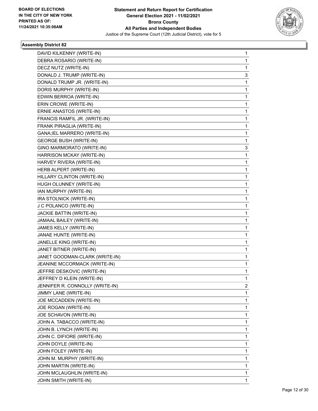

٠

| DAVID KILKENNY (WRITE-IN)       | 1           |
|---------------------------------|-------------|
| DEBRA ROSARIO (WRITE-IN)        | 1           |
| DECZ NUTZ (WRITE-IN)            | 1           |
| DONALD J. TRUMP (WRITE-IN)      | 3           |
| DONALD TRUMP JR. (WRITE-IN)     | 1           |
| DORIS MURPHY (WRITE-IN)         | 1           |
| EDWIN BERROA (WRITE-IN)         | 1           |
| ERIN CROWE (WRITE-IN)           | 1           |
| ERNIE ANASTOS (WRITE-IN)        | 1           |
| FRANCIS RAMFIL JR. (WRITE-IN)   | 1           |
| FRANK PIRAGLIA (WRITE-IN)       | 1           |
| GANA; IEL MARRERO (WRITE-IN)    | 1           |
| <b>GEORGE BUSH (WRITE-IN)</b>   | 1           |
| GINO MARMORATO (WRITE-IN)       | 3           |
| HARRISON MCKAY (WRITE-IN)       | $\mathbf 1$ |
| HARVEY RIVERA (WRITE-IN)        | 1           |
| HERB ALPERT (WRITE-IN)          | 1           |
| HILLARY CLINTON (WRITE-IN)      | 1           |
| HUGH OLUNNEY (WRITE-IN)         | 1           |
| IAN MURPHY (WRITE-IN)           | 1           |
| IRA STOLNICK (WRITE-IN)         | 1           |
| J C POLANCO (WRITE-IN)          | 1           |
| JACKIE BATTIN (WRITE-IN)        | 1           |
| JAMAAL BAILEY (WRITE-IN)        | 1           |
| JAMES KELLY (WRITE-IN)          | 1           |
| JANAE HUNTE (WRITE-IN)          | 1           |
| JANELLE KING (WRITE-IN)         | 1           |
| JANET BITNER (WRITE-IN)         | 1           |
| JANET GOODMAN-CLARK (WRITE-IN)  | 1           |
| JEANINE MCCORMACK (WRITE-IN)    | 1           |
| JEFFRE DESKOVIC (WRITE-IN)      | 1           |
| JEFFREY D KLEIN (WRITE-IN)      | 1           |
| JENNIFER R. CONNOLLY (WRITE-IN) | 2           |
| JIMMY LANE (WRITE-IN)           | 1           |
| JOE MCCADDEN (WRITE-IN)         | 1           |
| JOE ROGAN (WRITE-IN)            | 1           |
| JOE SCHAVON (WRITE-IN)          | 1           |
| JOHN A. TABACCO (WRITE-IN)      | 1           |
| JOHN B. LYNCH (WRITE-IN)        | 1           |
| JOHN C. DIFIORE (WRITE-IN)      | 1           |
| JOHN DOYLE (WRITE-IN)           | 1           |
| JOHN FOLEY (WRITE-IN)           | 1           |
| JOHN M. MURPHY (WRITE-IN)       | 1           |
| JOHN MARTIN (WRITE-IN)          | 1           |
| JOHN MCLAUGHLIN (WRITE-IN)      | 1           |
| JOHN SMITH (WRITE-IN)           | 1           |
|                                 |             |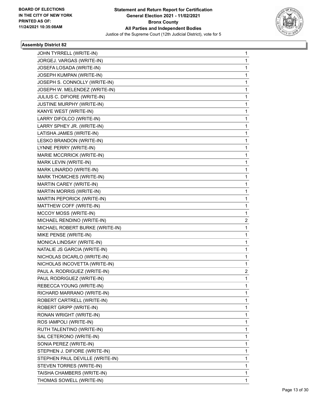

| JOHN TYRRELL (WRITE-IN)         | 1 |
|---------------------------------|---|
| JORGEJ. VARGAS (WRITE-IN)       | 1 |
| JOSEFA LOSADA (WRITE-IN)        | 1 |
| JOSEPH KUMPAN (WRITE-IN)        | 1 |
| JOSEPH S. CONNOLLY (WRITE-IN)   | 1 |
| JOSEPH W. MELENDEZ (WRITE-IN)   | 1 |
| JULIUS C. DIFIORE (WRITE-IN)    | 1 |
| JUSTINE MURPHY (WRITE-IN)       | 1 |
| KANYE WEST (WRITE-IN)           | 1 |
| LARRY DIFOLCO (WRITE-IN)        | 1 |
| LARRY SPHEY JR. (WRITE-IN)      | 1 |
| LATISHA JAMES (WRITE-IN)        | 1 |
| LESKO BRANDON (WRITE-IN)        | 1 |
| LYNNE PERRY (WRITE-IN)          | 1 |
| MARIE MCCRRICK (WRITE-IN)       | 1 |
| MARK LEVIN (WRITE-IN)           | 1 |
| MARK LINARDO (WRITE-IN)         | 1 |
| MARK THOMCHES (WRITE-IN)        | 1 |
| MARTIN CAREY (WRITE-IN)         | 1 |
| MARTIN MORRIS (WRITE-IN)        | 1 |
| MARTIN PEPORICK (WRITE-IN)      | 1 |
| MATTHEW COFF (WRITE-IN)         | 1 |
| MCCOY MOSS (WRITE-IN)           | 1 |
| MICHAEL RENDINO (WRITE-IN)      | 2 |
| MICHAEL ROBERT BURKE (WRITE-IN) | 1 |
| MIKE PENSE (WRITE-IN)           | 1 |
| MONICA LINDSAY (WRITE-IN)       | 1 |
| NATALIE JS GARCIA (WRITE-IN)    | 1 |
| NICHOLAS DICARLO (WRITE-IN)     | 1 |
| NICHOLAS INCOVETTA (WRITE-IN)   | 1 |
| PAUL A. RODRIGUEZ (WRITE-IN)    | 2 |
| PAUL RODRIGUEZ (WRITE-IN)       | 1 |
| REBECCA YOUNG (WRITE-IN)        | 1 |
| RICHARD MARRANO (WRITE-IN)      | 1 |
| ROBERT CARTRELL (WRITE-IN)      | 1 |
| ROBERT GRIPP (WRITE-IN)         | 1 |
| RONAN WRIGHT (WRITE-IN)         | 1 |
| ROS IAMPOLI (WRITE-IN)          | 1 |
| RUTH TALENTINO (WRITE-IN)       | 1 |
| SAL CETERONO (WRITE-IN)         | 1 |
| SONIA PEREZ (WRITE-IN)          | 1 |
| STEPHEN J. DIFIORE (WRITE-IN)   | 1 |
| STEPHEN PAUL DEVILLE (WRITE-IN) | 1 |
| STEVEN TORRES (WRITE-IN)        | 1 |
| TAISHA CHAMBERS (WRITE-IN)      | 1 |
| THOMAS SOWELL (WRITE-IN)        | 1 |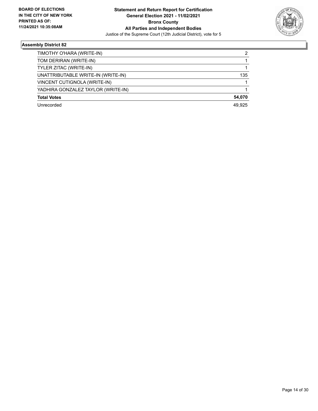

| TIMOTHY O'HARA (WRITE-IN)          | 2      |
|------------------------------------|--------|
| TOM DERIRAN (WRITE-IN)             |        |
| TYLER ZITAC (WRITE-IN)             |        |
| UNATTRIBUTABLE WRITE-IN (WRITE-IN) | 135    |
| VINCENT CUTIGNOLA (WRITE-IN)       |        |
| YADHIRA GONZALEZ TAYLOR (WRITE-IN) |        |
| <b>Total Votes</b>                 | 54,070 |
| Unrecorded                         | 49.925 |
|                                    |        |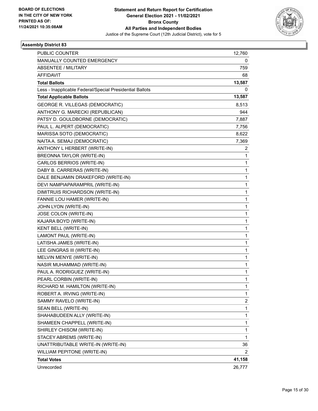

| <b>PUBLIC COUNTER</b>                                    | 12,760 |
|----------------------------------------------------------|--------|
| MANUALLY COUNTED EMERGENCY                               | 0      |
| ABSENTEE / MILITARY                                      | 759    |
| <b>AFFIDAVIT</b>                                         | 68     |
| <b>Total Ballots</b>                                     | 13,587 |
| Less - Inapplicable Federal/Special Presidential Ballots | 0      |
| <b>Total Applicable Ballots</b>                          | 13,587 |
| GEORGE R. VILLEGAS (DEMOCRATIC)                          | 8,513  |
| ANTHONY G. MARECKI (REPUBLICAN)                          | 944    |
| PATSY D. GOULDBORNE (DEMOCRATIC)                         | 7,887  |
| PAUL L. ALPERT (DEMOCRATIC)                              | 7,756  |
| MARISSA SOTO (DEMOCRATIC)                                | 8,622  |
| NAITA A. SEMAJ (DEMOCRATIC)                              | 7,369  |
| ANTHONY L HERBERT (WRITE-IN)                             | 2      |
| BREONNA TAYLOR (WRITE-IN)                                | 1      |
| CARLOS BERRIOS (WRITE-IN)                                | 1      |
| DABY B. CARRERAS (WRITE-IN)                              | 1      |
| DALE BENJAMIN DRAKEFORD (WRITE-IN)                       | 1      |
| DEVI NAMPIAPARAMPRIL (WRITE-IN)                          | 1      |
| DIMITRUIS RICHARDSON (WRITE-IN)                          | 1      |
| FANNIE LOU HAMER (WRITE-IN)                              | 1      |
| JOHN LYON (WRITE-IN)                                     | 1      |
| JOSE COLON (WRITE-IN)                                    | 1      |
| KAJARA BOYD (WRITE-IN)                                   | 1      |
| KENT BELL (WRITE-IN)                                     | 1      |
| LAMONT PAUL (WRITE-IN)                                   | 1      |
| LATISHA JAMES (WRITE-IN)                                 | 1      |
| LEE GINGRAS III (WRITE-IN)                               | 1      |
| MELVIN MENYE (WRITE-IN)                                  | 1      |
| NASIR MUHAMMAD (WRITE-IN)                                | 1      |
| PAUL A. RODRIGUEZ (WRITE-IN)                             | 1      |
| PEARL CORBIN (WRITE-IN)                                  | 1      |
| RICHARD M. HAMILTON (WRITE-IN)                           | 1      |
| ROBERT A. IRVING (WRITE-IN)                              | 1      |
| SAMMY RAVELO (WRITE-IN)                                  | 2      |
| SEAN BELL (WRITE-IN)                                     | 1      |
| SHAHABUDEEN ALLY (WRITE-IN)                              | 1      |
| SHAMEEN CHAPPELL (WRITE-IN)                              | 1      |
| SHIRLEY CHISOM (WRITE-IN)                                | 1      |
| STACEY ABREMS (WRITE-IN)                                 | 1      |
| UNATTRIBUTABLE WRITE-IN (WRITE-IN)                       | 36     |
| WILLIAM PEPITONE (WRITE-IN)                              | 2      |
| <b>Total Votes</b>                                       | 41,158 |
| Unrecorded                                               | 26,777 |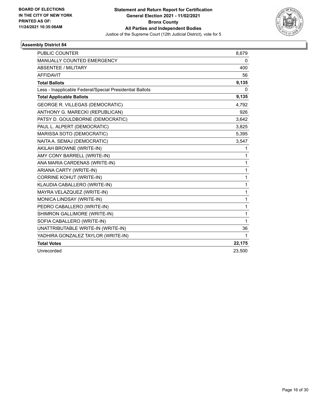

| <b>PUBLIC COUNTER</b>                                    | 8,679        |
|----------------------------------------------------------|--------------|
| MANUALLY COUNTED EMERGENCY                               | 0            |
| <b>ABSENTEE / MILITARY</b>                               | 400          |
| <b>AFFIDAVIT</b>                                         | 56           |
| <b>Total Ballots</b>                                     | 9,135        |
| Less - Inapplicable Federal/Special Presidential Ballots | $\mathbf{0}$ |
| <b>Total Applicable Ballots</b>                          | 9,135        |
| <b>GEORGE R. VILLEGAS (DEMOCRATIC)</b>                   | 4,792        |
| ANTHONY G. MARECKI (REPUBLICAN)                          | 926          |
| PATSY D. GOULDBORNE (DEMOCRATIC)                         | 3,642        |
| PAUL L. ALPERT (DEMOCRATIC)                              | 3,825        |
| MARISSA SOTO (DEMOCRATIC)                                | 5,395        |
| NAITA A. SEMAJ (DEMOCRATIC)                              | 3,547        |
| AKILAH BROWNE (WRITE-IN)                                 | 1            |
| AMY CONY BARRELL (WRITE-IN)                              | 1            |
| ANA MARIA CARDENAS (WRITE-IN)                            | 1            |
| ARIANA CARTY (WRITE-IN)                                  | 1            |
| <b>CORRINE KOHUT (WRITE-IN)</b>                          | 1            |
| KLAUDIA CABALLERO (WRITE-IN)                             | 1            |
| MAYRA VELAZQUEZ (WRITE-IN)                               | 1            |
| MONICA LINDSAY (WRITE-IN)                                | 1            |
| PEDRO CABALLERO (WRITE-IN)                               | 1            |
| SHIMRON GALLIMORE (WRITE-IN)                             | 1            |
| SOFIA CABALLERO (WRITE-IN)                               | 1            |
| UNATTRIBUTABLE WRITE-IN (WRITE-IN)                       | 36           |
| YADHIRA GONZALEZ TAYLOR (WRITE-IN)                       | 1            |
| <b>Total Votes</b>                                       | 22,175       |
| Unrecorded                                               | 23,500       |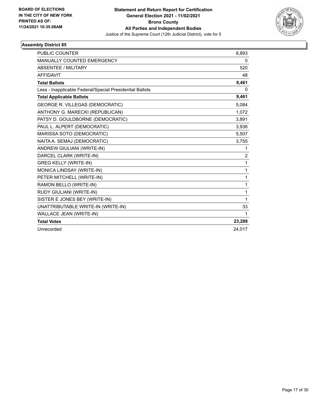

| PUBLIC COUNTER                                           | 8,893          |
|----------------------------------------------------------|----------------|
| MANUALLY COUNTED EMERGENCY                               | 0              |
| <b>ABSENTEE / MILITARY</b>                               | 520            |
| <b>AFFIDAVIT</b>                                         | 48             |
| <b>Total Ballots</b>                                     | 9,461          |
| Less - Inapplicable Federal/Special Presidential Ballots | 0              |
| <b>Total Applicable Ballots</b>                          | 9,461          |
| GEORGE R. VILLEGAS (DEMOCRATIC)                          | 5,084          |
| ANTHONY G. MARECKI (REPUBLICAN)                          | 1,072          |
| PATSY D. GOULDBORNE (DEMOCRATIC)                         | 3,891          |
| PAUL L. ALPERT (DEMOCRATIC)                              | 3,936          |
| MARISSA SOTO (DEMOCRATIC)                                | 5,507          |
| NAITA A. SEMAJ (DEMOCRATIC)                              | 3,755          |
| ANDREW GIULIANI (WRITE-IN)                               | 1              |
| DARCEL CLARK (WRITE-IN)                                  | $\overline{c}$ |
| <b>GREG KELLY (WRITE-IN)</b>                             | 1              |
| MONICA LINDSAY (WRITE-IN)                                | 1              |
| PETER MITCHELL (WRITE-IN)                                | $\mathbf{1}$   |
| RAMON BELLO (WRITE-IN)                                   | 1              |
| RUDY GIULIANI (WRITE-IN)                                 | 1              |
| SISTER E JONES BEY (WRITE-IN)                            | 1              |
| UNATTRIBUTABLE WRITE-IN (WRITE-IN)                       | 33             |
| WALLACE JEAN (WRITE-IN)                                  | 1              |
| <b>Total Votes</b>                                       | 23,288         |
| Unrecorded                                               | 24.017         |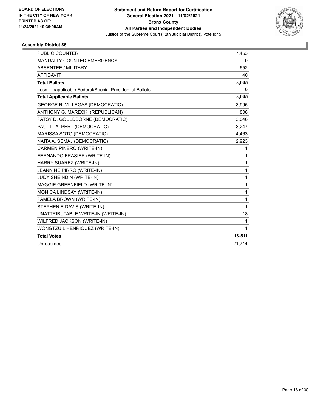

| PUBLIC COUNTER                                           | 7,453        |
|----------------------------------------------------------|--------------|
| MANUALLY COUNTED EMERGENCY                               | 0            |
| <b>ABSENTEE / MILITARY</b>                               | 552          |
| <b>AFFIDAVIT</b>                                         | 40           |
| <b>Total Ballots</b>                                     | 8,045        |
| Less - Inapplicable Federal/Special Presidential Ballots | 0            |
| <b>Total Applicable Ballots</b>                          | 8,045        |
| <b>GEORGE R. VILLEGAS (DEMOCRATIC)</b>                   | 3,995        |
| ANTHONY G. MARECKI (REPUBLICAN)                          | 808          |
| PATSY D. GOULDBORNE (DEMOCRATIC)                         | 3,046        |
| PAUL L. ALPERT (DEMOCRATIC)                              | 3,247        |
| MARISSA SOTO (DEMOCRATIC)                                | 4,463        |
| NAITA A. SEMAJ (DEMOCRATIC)                              | 2,923        |
| CARMEN PINERO (WRITE-IN)                                 | 1            |
| FERNANDO FRASIER (WRITE-IN)                              | 1            |
| HARRY SUAREZ (WRITE-IN)                                  | 1            |
| JEANNINE PIRRO (WRITE-IN)                                | 1            |
| JUDY SHEINDIN (WRITE-IN)                                 | $\mathbf{1}$ |
| MAGGIE GREENFIELD (WRITE-IN)                             | $\mathbf{1}$ |
| MONICA LINDSAY (WRITE-IN)                                | 1            |
| PAMELA BROWN (WRITE-IN)                                  | 1            |
| STEPHEN E DAVIS (WRITE-IN)                               | 1            |
| UNATTRIBUTABLE WRITE-IN (WRITE-IN)                       | 18           |
| WILFRED JACKSON (WRITE-IN)                               | 1            |
| WONGTZU L HENRIQUEZ (WRITE-IN)                           | $\mathbf{1}$ |
| <b>Total Votes</b>                                       | 18,511       |
| Unrecorded                                               | 21,714       |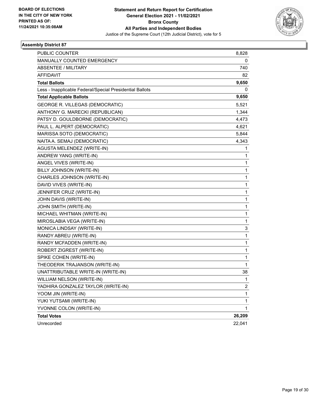

| PUBLIC COUNTER                                           | 8,828  |
|----------------------------------------------------------|--------|
| MANUALLY COUNTED EMERGENCY                               | 0      |
| <b>ABSENTEE / MILITARY</b>                               | 740    |
| <b>AFFIDAVIT</b>                                         | 82     |
| <b>Total Ballots</b>                                     | 9,650  |
| Less - Inapplicable Federal/Special Presidential Ballots | 0      |
| <b>Total Applicable Ballots</b>                          | 9,650  |
| GEORGE R. VILLEGAS (DEMOCRATIC)                          | 5,521  |
| ANTHONY G. MARECKI (REPUBLICAN)                          | 1,344  |
| PATSY D. GOULDBORNE (DEMOCRATIC)                         | 4,473  |
| PAUL L. ALPERT (DEMOCRATIC)                              | 4,621  |
| MARISSA SOTO (DEMOCRATIC)                                | 5,844  |
| NAITA A. SEMAJ (DEMOCRATIC)                              | 4,343  |
| AGUSTA MELENDEZ (WRITE-IN)                               | 1      |
| ANDREW YANG (WRITE-IN)                                   | 1      |
| ANGEL VIVES (WRITE-IN)                                   | 1      |
| BILLY JOHNSON (WRITE-IN)                                 | 1      |
| CHARLES JOHNSON (WRITE-IN)                               | 1      |
| DAVID VIVES (WRITE-IN)                                   | 1      |
| JENNIFER CRUZ (WRITE-IN)                                 | 1      |
| JOHN DAVIS (WRITE-IN)                                    | 1      |
| JOHN SMITH (WRITE-IN)                                    | 1      |
| MICHAEL WHITMAN (WRITE-IN)                               | 1      |
| MIROSLABIA VEGA (WRITE-IN)                               | 1      |
| MONICA LINDSAY (WRITE-IN)                                | 3      |
| RANDY ABREU (WRITE-IN)                                   | 1      |
| RANDY MCFADDEN (WRITE-IN)                                | 1      |
| ROBERT ZIGREST (WRITE-IN)                                | 1      |
| SPIKE COHEN (WRITE-IN)                                   | 1      |
| THEODERIK TRAJANSON (WRITE-IN)                           | 1      |
| UNATTRIBUTABLE WRITE-IN (WRITE-IN)                       | 38     |
| WILLIAM NELSON (WRITE-IN)                                | 1      |
| YADHIRA GONZALEZ TAYLOR (WRITE-IN)                       | 2      |
| YOOM JIN (WRITE-IN)                                      | 1      |
| YUKI YUTSAMI (WRITE-IN)                                  | 1      |
| YVONNE COLON (WRITE-IN)                                  | 1      |
| <b>Total Votes</b>                                       | 26,209 |
| Unrecorded                                               | 22,041 |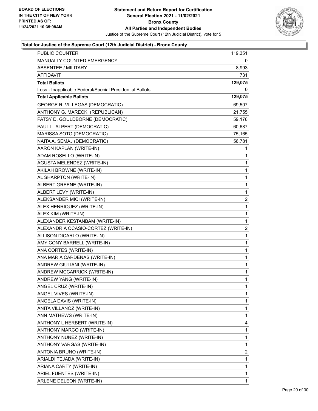

| <b>PUBLIC COUNTER</b>                                    | 119,351        |
|----------------------------------------------------------|----------------|
| MANUALLY COUNTED EMERGENCY                               | 0              |
| <b>ABSENTEE / MILITARY</b>                               | 8,993          |
| <b>AFFIDAVIT</b>                                         | 731            |
| <b>Total Ballots</b>                                     | 129,075        |
| Less - Inapplicable Federal/Special Presidential Ballots | 0              |
| <b>Total Applicable Ballots</b>                          | 129,075        |
| <b>GEORGE R. VILLEGAS (DEMOCRATIC)</b>                   | 69,507         |
| ANTHONY G. MARECKI (REPUBLICAN)                          | 21,755         |
| PATSY D. GOULDBORNE (DEMOCRATIC)                         | 59,176         |
| PAUL L. ALPERT (DEMOCRATIC)                              | 60,687         |
| MARISSA SOTO (DEMOCRATIC)                                | 75,165         |
| NAITA A. SEMAJ (DEMOCRATIC)                              | 56,781         |
| AARON KAPLAN (WRITE-IN)                                  | 1              |
| ADAM ROSELLO (WRITE-IN)                                  | 1              |
| <b>AGUSTA MELENDEZ (WRITE-IN)</b>                        | 1              |
| AKILAH BROWNE (WRITE-IN)                                 | 1              |
| AL SHARPTON (WRITE-IN)                                   | 1              |
| ALBERT GREENE (WRITE-IN)                                 | 1              |
| ALBERT LEVY (WRITE-IN)                                   | 1              |
| ALEKSANDER MICI (WRITE-IN)                               | $\overline{2}$ |
| ALEX HENRIQUEZ (WRITE-IN)                                | 1              |
| ALEX KIM (WRITE-IN)                                      | 1              |
| ALEXANDER KESTANBAM (WRITE-IN)                           | 1              |
| ALEXANDRIA OCASIO-CORTEZ (WRITE-IN)                      | 2              |
| ALLISON DICARLO (WRITE-IN)                               | 1              |
| AMY CONY BARRELL (WRITE-IN)                              | 1              |
| ANA CORTES (WRITE-IN)                                    | 1              |
| ANA MARIA CARDENAS (WRITE-IN)                            | 1              |
| ANDREW GIULIANI (WRITE-IN)                               | 1              |
| ANDREW MCCARRICK (WRITE-IN)                              | 1              |
| ANDREW YANG (WRITE-IN)                                   | $\mathbf{1}$   |
| ANGEL CRUZ (WRITE-IN)                                    | 1              |
| ANGEL VIVES (WRITE-IN)                                   | 1              |
| ANGELA DAVIS (WRITE-IN)                                  | 1              |
| ANITA VILLANOZ (WRITE-IN)                                | 1              |
| ANN MATHEWS (WRITE-IN)                                   | 1              |
| ANTHONY L HERBERT (WRITE-IN)                             | 4              |
| ANTHONY MARCO (WRITE-IN)                                 | 1              |
| ANTHONY NUNEZ (WRITE-IN)                                 | 1              |
| ANTHONY VARGAS (WRITE-IN)                                | 1              |
| ANTONIA BRUNO (WRITE-IN)                                 | 2              |
| ARIALDI TEJADA (WRITE-IN)                                | 1              |
| ARIANA CARTY (WRITE-IN)                                  | 1              |
| ARIEL FUENTES (WRITE-IN)                                 | 1              |
| ARLENE DELEON (WRITE-IN)                                 | 1              |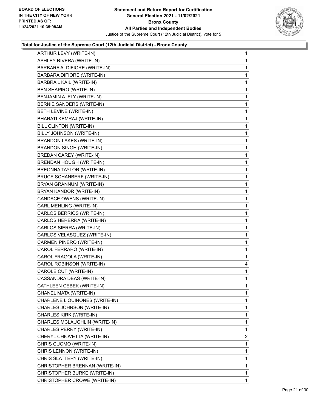

| ARTHUR LEVY (WRITE-IN)            | $\mathbf{1}$ |
|-----------------------------------|--------------|
| <b>ASHLEY RIVERA (WRITE-IN)</b>   | 1            |
| BARBARA A. DIFIORE (WRITE-IN)     | 1            |
| BARBARA DIFIORE (WRITE-IN)        | $\mathbf{1}$ |
| BARBRA L KAIL (WRITE-IN)          | 1            |
| BEN SHAPIRO (WRITE-IN)            | 1            |
| BENJAMIN A. ELY (WRITE-IN)        | $\mathbf{1}$ |
| BERNIE SANDERS (WRITE-IN)         | 1            |
| BETH LEVINE (WRITE-IN)            | 1            |
| BHARATI KEMRAJ (WRITE-IN)         | $\mathbf{1}$ |
| BILL CLINTON (WRITE-IN)           | 1            |
| BILLY JOHNSON (WRITE-IN)          | 1            |
| <b>BRANDON LAKES (WRITE-IN)</b>   | $\mathbf{1}$ |
| <b>BRANDON SINGH (WRITE-IN)</b>   | 1            |
| BREDAN CAREY (WRITE-IN)           | 1            |
| BRENDAN HOUGH (WRITE-IN)          | $\mathbf{1}$ |
| BREONNA TAYLOR (WRITE-IN)         | 1            |
| <b>BRUCE SCHANBERF (WRITE-IN)</b> | 1            |
| BRYAN GRANNUM (WRITE-IN)          | $\mathbf 1$  |
| BRYAN KANDOR (WRITE-IN)           | 1            |
| CANDACE OWENS (WRITE-IN)          | 1            |
| CARL MEHLING (WRITE-IN)           | $\mathbf 1$  |
| CARLOS BERRIOS (WRITE-IN)         | 1            |
| CARLOS HERERRA (WRITE-IN)         | 1            |
| CARLOS SIERRA (WRITE-IN)          | $\mathbf 1$  |
| CARLOS VELASQUEZ (WRITE-IN)       | 1            |
| CARMEN PINERO (WRITE-IN)          | 1            |
| CAROL FERRARO (WRITE-IN)          | $\mathbf 1$  |
| CAROL FRAGOLA (WRITE-IN)          | 1            |
| CAROL ROBINSON (WRITE-IN)         | 4            |
| CAROLE CUT (WRITE-IN)             | $\mathbf{1}$ |
| CASSANDRA DEAS (WRITE-IN)         | 1            |
| CATHLEEN CEBEK (WRITE-IN)         | $\mathbf 1$  |
| CHANEL MATA (WRITE-IN)            | 1            |
| CHARLENE L QUINONES (WRITE-IN)    | 1            |
| CHARLES JOHNSON (WRITE-IN)        | 1            |
| CHARLES KIRK (WRITE-IN)           | 1            |
| CHARLES MCLAUGHLIN (WRITE-IN)     | 1            |
| CHARLES PERRY (WRITE-IN)          | 1            |
| CHERYL CHIOVETTA (WRITE-IN)       | 2            |
| CHRIS CUOMO (WRITE-IN)            | 1            |
| CHRIS LENNON (WRITE-IN)           | 1            |
| CHRIS SLATTERY (WRITE-IN)         | 1            |
| CHRISTOPHER BRENNAN (WRITE-IN)    | 1            |
| CHRISTOPHER BURKE (WRITE-IN)      | $\mathbf{1}$ |
| CHRISTOPHER CROWE (WRITE-IN)      | 1            |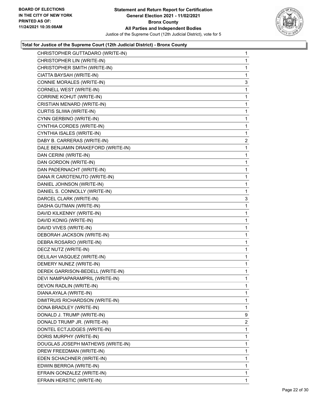

| CHRISTOPHER GUTTADARO (WRITE-IN)   | 1              |
|------------------------------------|----------------|
| CHRISTOPHER LIN (WRITE-IN)         | 1              |
| CHRISTOPHER SMITH (WRITE-IN)       | 1              |
| CIATTA BAYSAH (WRITE-IN)           | 1              |
| CONNIE MORALES (WRITE-IN)          | 3              |
| CORNELL WEST (WRITE-IN)            | 1              |
| CORRINE KOHUT (WRITE-IN)           | 1              |
| CRISTIAN MENARD (WRITE-IN)         | 1              |
| CURTIS SLIWA (WRITE-IN)            | 1              |
| CYNN GERBINO (WRITE-IN)            | 1              |
| CYNTHIA CORDES (WRITE-IN)          | 1              |
| CYNTHIA ISALES (WRITE-IN)          | 1              |
| DABY B. CARRERAS (WRITE-IN)        | $\overline{c}$ |
| DALE BENJAMIN DRAKEFORD (WRITE-IN) | 1              |
| DAN CERINI (WRITE-IN)              | 1              |
| DAN GORDON (WRITE-IN)              | 1              |
| DAN PADERNACHT (WRITE-IN)          | 1              |
| DANA R CAROTENUTO (WRITE-IN)       | 1              |
| DANIEL JOHNSON (WRITE-IN)          | 1              |
| DANIEL S. CONNOLLY (WRITE-IN)      | 1              |
| DARCEL CLARK (WRITE-IN)            | 3              |
| DASHA GUTMAN (WRITE-IN)            | 1              |
| DAVID KILKENNY (WRITE-IN)          | 1              |
| DAVID KONIG (WRITE-IN)             | 1              |
| DAVID VIVES (WRITE-IN)             | 1              |
| DEBORAH JACKSON (WRITE-IN)         | 1              |
| DEBRA ROSARIO (WRITE-IN)           | 1              |
| DECZ NUTZ (WRITE-IN)               | 1              |
| DELILAH VASQUEZ (WRITE-IN)         | $\mathbf{1}$   |
| DEMERY NUNEZ (WRITE-IN)            | 1              |
| DEREK GARRISON-BEDELL (WRITE-IN)   | 1              |
| DEVI NAMPIAPARAMPRIL (WRITE-IN)    | 1              |
| DEVON RADLIN (WRITE-IN)            | 1              |
| DIANA AYALA (WRITE-IN)             | 1              |
| DIMITRUIS RICHARDSON (WRITE-IN)    | 1              |
| DONA BRADLEY (WRITE-IN)            | 1              |
| DONALD J. TRUMP (WRITE-IN)         | 9              |
| DONALD TRUMP JR. (WRITE-IN)        | $\overline{2}$ |
| DONTEL ECTJUDGES (WRITE-IN)        | 1              |
| DORIS MURPHY (WRITE-IN)            | 1              |
| DOUGLAS JOSEPH MATHEWS (WRITE-IN)  | 1              |
| DREW FREEDMAN (WRITE-IN)           | 1              |
| EDEN SCHACHNER (WRITE-IN)          | 1              |
| EDWIN BERROA (WRITE-IN)            | 1              |
| EFRAIN GONZALEZ (WRITE-IN)         | 1              |
| EFRAIN HERSTIC (WRITE-IN)          | 1              |
|                                    |                |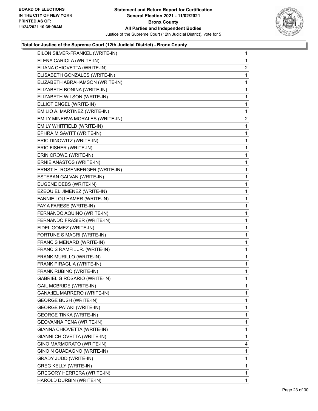

| EILON SILVER-FRANKEL (WRITE-IN)     | $\mathbf{1}$   |
|-------------------------------------|----------------|
| ELENA CARIOLA (WRITE-IN)            | 1              |
| ELIANA CHIOVETTA (WRITE-IN)         | $\overline{2}$ |
| ELISABETH GONZALES (WRITE-IN)       | 1              |
| ELIZABETH ABRAHAMSON (WRITE-IN)     | 1              |
| ELIZABETH BONINA (WRITE-IN)         | $\mathbf{1}$   |
| ELIZABETH WILSON (WRITE-IN)         | 1              |
| ELLIOT ENGEL (WRITE-IN)             | 1              |
| EMILIO A. MARTINEZ (WRITE-IN)       | 1              |
| EMILY MINERVA MORALES (WRITE-IN)    | $\overline{2}$ |
| EMILY WHITFIELD (WRITE-IN)          | 1              |
| EPHRAIM SAVITT (WRITE-IN)           | $\mathbf{1}$   |
| ERIC DINOWITZ (WRITE-IN)            | 1              |
| ERIC FISHER (WRITE-IN)              | 1              |
| ERIN CROWE (WRITE-IN)               | 1              |
| ERNIE ANASTOS (WRITE-IN)            | 1              |
| ERNST H. ROSENBERGER (WRITE-IN)     | 1              |
| ESTEBAN GALVAN (WRITE-IN)           | $\mathbf{1}$   |
| EUGENE DEBS (WRITE-IN)              | 1              |
| EZEQUIEL JIMENEZ (WRITE-IN)         | 1              |
| FANNIE LOU HAMER (WRITE-IN)         | 1              |
| FAY A FARESE (WRITE-IN)             | 1              |
| FERNANDO AQUINO (WRITE-IN)          | 1              |
| FERNANDO FRASIER (WRITE-IN)         | $\mathbf{1}$   |
| FIDEL GOMEZ (WRITE-IN)              | 1              |
| FORTUNE S MACRI (WRITE-IN)          | $\mathbf{1}$   |
| FRANCIS MENARD (WRITE-IN)           | 1              |
| FRANCIS RAMFIL JR. (WRITE-IN)       | 1              |
| FRANK MURILLO (WRITE-IN)            | 1              |
| FRANK PIRAGLIA (WRITE-IN)           | $\mathbf{1}$   |
| FRANK RUBINO (WRITE-IN)             | 1              |
| <b>GABRIEL G ROSARIO (WRITE-IN)</b> | 1              |
| <b>GAIL MCBRIDE (WRITE-IN)</b>      | 1              |
| GANA; IEL MARRERO (WRITE-IN)        | 1              |
| <b>GEORGE BUSH (WRITE-IN)</b>       | 1              |
| <b>GEORGE PATAKI (WRITE-IN)</b>     | 1              |
| <b>GEORGE TINKA (WRITE-IN)</b>      | 1              |
| GEOVANNA PENA (WRITE-IN)            | 1              |
| GIANNA CHIOVETTA (WRITE-IN)         | 1              |
| GIANNI CHIOVETTA (WRITE-IN)         | 1              |
| GINO MARMORATO (WRITE-IN)           | 4              |
| GINO N GUADAGNO (WRITE-IN)          | 1              |
| GRADY JUDD (WRITE-IN)               | 1              |
| GREG KELLY (WRITE-IN)               | 1              |
| <b>GREGORY HERRERA (WRITE-IN)</b>   | 1              |
| HAROLD DURBIN (WRITE-IN)            | 1              |
|                                     |                |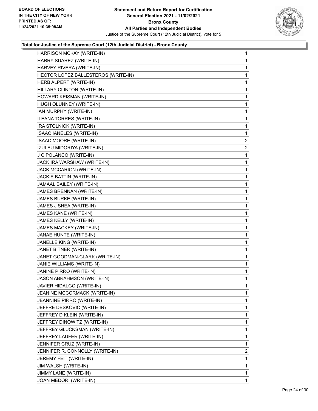

| HARRISON MCKAY (WRITE-IN)           | $\mathbf{1}$   |
|-------------------------------------|----------------|
| HARRY SUAREZ (WRITE-IN)             | $\mathbf{1}$   |
| HARVEY RIVERA (WRITE-IN)            | 1              |
| HECTOR LOPEZ BALLESTEROS (WRITE-IN) | $\mathbf{1}$   |
| HERB ALPERT (WRITE-IN)              | 1              |
| HILLARY CLINTON (WRITE-IN)          | 1              |
| HOWARD KEISMAN (WRITE-IN)           | 1              |
| HUGH OLUNNEY (WRITE-IN)             | $\mathbf{1}$   |
| IAN MURPHY (WRITE-IN)               | 1              |
| ILEANA TORRES (WRITE-IN)            | $\mathbf{1}$   |
| IRA STOLNICK (WRITE-IN)             | $\mathbf{1}$   |
| ISAAC IANELES (WRITE-IN)            | $\mathbf{1}$   |
| ISAAC MOORE (WRITE-IN)              | $\overline{2}$ |
| IZULEU MIDORIYA (WRITE-IN)          | 2              |
| J C POLANCO (WRITE-IN)              | 1              |
| JACK IRA WARSHAW (WRITE-IN)         | $\mathbf{1}$   |
| JACK MCCARION (WRITE-IN)            | $\mathbf{1}$   |
| JACKIE BATTIN (WRITE-IN)            | 1              |
| JAMAAL BAILEY (WRITE-IN)            | 1              |
| JAMES BRENNAN (WRITE-IN)            | $\mathbf{1}$   |
| JAMES BURKE (WRITE-IN)              | 1              |
| JAMES J SHEA (WRITE-IN)             | $\mathbf{1}$   |
| JAMES KANE (WRITE-IN)               | $\mathbf{1}$   |
| JAMES KELLY (WRITE-IN)              | 1              |
| JAMES MACKEY (WRITE-IN)             | 1              |
| JANAE HUNTE (WRITE-IN)              | $\mathbf{1}$   |
| JANELLE KING (WRITE-IN)             | 1              |
| JANET BITNER (WRITE-IN)             | $\mathbf{1}$   |
| JANET GOODMAN-CLARK (WRITE-IN)      | $\mathbf{1}$   |
| JANIE WILLIAMS (WRITE-IN)           | 1              |
| JANINE PIRRO (WRITE-IN)             | 1              |
| JASON ABRAHMSON (WRITE-IN)          | $\mathbf{1}$   |
| JAVIER HIDALGO (WRITE-IN)           | $\mathbf{1}$   |
| JEANINE MCCORMACK (WRITE-IN)        | 1              |
| JEANNINE PIRRO (WRITE-IN)           | 1              |
| JEFFRE DESKOVIC (WRITE-IN)          | 1              |
| JEFFREY D KLEIN (WRITE-IN)          | 1              |
| JEFFREY DINOWITZ (WRITE-IN)         | 1              |
| JEFFREY GLUCKSMAN (WRITE-IN)        | 1              |
| JEFFREY LAUFER (WRITE-IN)           | 1              |
| JENNIFER CRUZ (WRITE-IN)            | 1              |
| JENNIFER R. CONNOLLY (WRITE-IN)     | 2              |
| JEREMY FEIT (WRITE-IN)              | 1              |
| JIM WALSH (WRITE-IN)                | 1              |
| JIMMY LANE (WRITE-IN)               | 1              |
| JOAN MEDORI (WRITE-IN)              | 1              |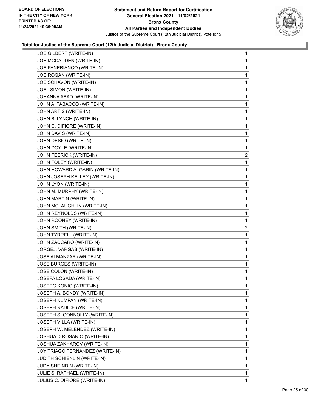

| JOE GILBERT (WRITE-IN)          | 1              |
|---------------------------------|----------------|
| JOE MCCADDEN (WRITE-IN)         | 1              |
| JOE PANEBIANCO (WRITE-IN)       | 1              |
| JOE ROGAN (WRITE-IN)            | 1              |
| JOE SCHAVON (WRITE-IN)          | 1              |
| JOEL SIMON (WRITE-IN)           | 1              |
| JOHANNA ABAD (WRITE-IN)         | 1              |
| JOHN A. TABACCO (WRITE-IN)      | 1              |
| JOHN ARTIS (WRITE-IN)           | 1              |
| JOHN B. LYNCH (WRITE-IN)        | 1              |
| JOHN C. DIFIORE (WRITE-IN)      | 1              |
| JOHN DAVIS (WRITE-IN)           | 1              |
| JOHN DESIO (WRITE-IN)           | 1              |
| JOHN DOYLE (WRITE-IN)           | 1              |
| JOHN FEERICK (WRITE-IN)         | 2              |
| JOHN FOLEY (WRITE-IN)           | 1              |
| JOHN HOWARD ALGARIN (WRITE-IN)  | 1              |
| JOHN JOSEPH KELLEY (WRITE-IN)   | 1              |
| JOHN LYON (WRITE-IN)            | 1              |
| JOHN M. MURPHY (WRITE-IN)       | 1              |
| JOHN MARTIN (WRITE-IN)          | 1              |
| JOHN MCLAUGHLIN (WRITE-IN)      | 1              |
| JOHN REYNOLDS (WRITE-IN)        | 1              |
| JOHN ROONEY (WRITE-IN)          | 1              |
| JOHN SMITH (WRITE-IN)           | $\overline{c}$ |
| JOHN TYRRELL (WRITE-IN)         | 1              |
| JOHN ZACCARO (WRITE-IN)         | 1              |
| JORGEJ. VARGAS (WRITE-IN)       | 1              |
| JOSE ALMANZAR (WRITE-IN)        | 1              |
| JOSE BURGES (WRITE-IN)          | 1              |
| JOSE COLON (WRITE-IN)           | 1              |
| JOSEFA LOSADA (WRITE-IN)        | 1              |
| <b>JOSEPG KONIG (WRITE-IN)</b>  | 1              |
| JOSEPH A. BONDY (WRITE-IN)      | 1              |
| JOSEPH KUMPAN (WRITE-IN)        | 1              |
| JOSEPH RADICE (WRITE-IN)        | 1              |
| JOSEPH S. CONNOLLY (WRITE-IN)   | 1              |
| JOSEPH VILLA (WRITE-IN)         | 1              |
| JOSEPH W. MELENDEZ (WRITE-IN)   | 1              |
| JOSHUA D ROSARIO (WRITE-IN)     | 1              |
| JOSHUA ZAKHAROV (WRITE-IN)      | 1              |
| JOY TRIAGO FERNANDEZ (WRITE-IN) | 1              |
|                                 |                |
| JUDITH SCHIENLIN (WRITE-IN)     | 1              |
| JUDY SHEINDIN (WRITE-IN)        | 1              |
| JULIE S. RAPHAEL (WRITE-IN)     | 1              |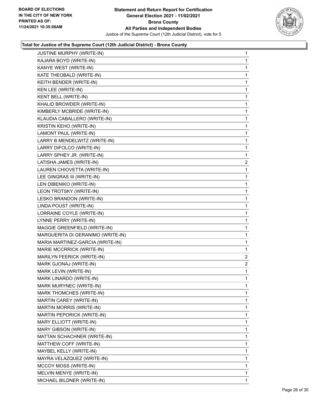

| JUSTINE MURPHY (WRITE-IN)         | 1              |
|-----------------------------------|----------------|
| KAJARA BOYD (WRITE-IN)            | 1              |
| KANYE WEST (WRITE-IN)             | 1              |
| KATE THEOBALD (WRITE-IN)          | 1              |
| KEITH BENDER (WRITE-IN)           | 1              |
| KEN LEE (WRITE-IN)                | 1              |
| KENT BELL (WRITE-IN)              | 1              |
| KHALID BROWDER (WRITE-IN)         | 1              |
| KIMBERLY MCBRIDE (WRITE-IN)       | 1              |
| KLAUDIA CABALLERO (WRITE-IN)      | 1              |
| KRISTIN KEHO (WRITE-IN)           | 1              |
| LAMONT PAUL (WRITE-IN)            | 1              |
| LARRY B MENDELWITZ (WRITE-IN)     | 1              |
| LARRY DIFOLCO (WRITE-IN)          | 1              |
| LARRY SPHEY JR. (WRITE-IN)        | 1              |
| LATISHA JAMES (WRITE-IN)          | $\overline{c}$ |
| LAUREN CHIOVETTA (WRITE-IN)       | 1              |
| LEE GINGRAS III (WRITE-IN)        | 1              |
| LEN DIBENIKO (WRITE-IN)           | 1              |
| LEON TROTSKY (WRITE-IN)           | 1              |
| LESKO BRANDON (WRITE-IN)          | 1              |
| LINDA POUST (WRITE-IN)            | 1              |
| LORRAINE COYLE (WRITE-IN)         | 1              |
| LYNNE PERRY (WRITE-IN)            | 1              |
| MAGGIE GREENFIELD (WRITE-IN)      | 1              |
| MARGUERITA DI GERANIMO (WRITE-IN) | 1              |
| MARIA MARTINEZ-GARCIA (WRITE-IN)  | 1              |
| MARIE MCCRRICK (WRITE-IN)         | 1              |
| MARILYN FEERICK (WRITE-IN)        | $\mathbf{2}$   |
| MARK GJONAJ (WRITE-IN)            | 2              |
| MARK LEVIN (WRITE-IN)             | 1              |
| MARK LINARDO (WRITE-IN)           | 1              |
| MARK MURYNEC (WRITE-IN)           | 1              |
| MARK THOMCHES (WRITE-IN)          | 1              |
| MARTIN CAREY (WRITE-IN)           | 1              |
| MARTIN MORRIS (WRITE-IN)          | 1              |
| MARTIN PEPORICK (WRITE-IN)        | 1              |
| MARY ELLIOTT (WRITE-IN)           | 1              |
| MARY GIBSON (WRITE-IN)            | 1              |
| MATTAN SCHACHNER (WRITE-IN)       | 1              |
| MATTHEW COFF (WRITE-IN)           | 1              |
| MAYBEL KELLY (WRITE-IN)           | 1              |
| MAYRA VELAZQUEZ (WRITE-IN)        | 1              |
| MCCOY MOSS (WRITE-IN)             | 1              |
| MELVIN MENYE (WRITE-IN)           | 1              |
| MICHAEL BILDNER (WRITE-IN)        | 1              |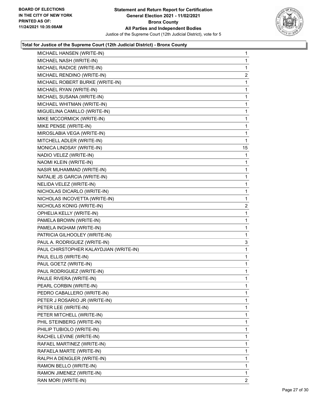

| MICHAEL HANSEN (WRITE-IN)              | $\mathbf{1}$ |
|----------------------------------------|--------------|
| MICHAEL NASH (WRITE-IN)                | $\mathbf{1}$ |
| MICHAEL RADICE (WRITE-IN)              | $\mathbf{1}$ |
| MICHAEL RENDINO (WRITE-IN)             | 2            |
| MICHAEL ROBERT BURKE (WRITE-IN)        | 1            |
| MICHAEL RYAN (WRITE-IN)                | $\mathbf{1}$ |
| MICHAEL SUSANA (WRITE-IN)              | 1            |
| MICHAEL WHITMAN (WRITE-IN)             | $\mathbf{1}$ |
| MIGUELINA CAMILLO (WRITE-IN)           | $\mathbf{1}$ |
| MIKE MCCORMICK (WRITE-IN)              | 1            |
| MIKE PENSE (WRITE-IN)                  | 1            |
| MIROSLABIA VEGA (WRITE-IN)             | $\mathbf{1}$ |
| MITCHELL ADLER (WRITE-IN)              | 1            |
| MONICA LINDSAY (WRITE-IN)              | 15           |
| NADIO VELEZ (WRITE-IN)                 | 1            |
| NAOMI KLEIN (WRITE-IN)                 | 1            |
| NASIR MUHAMMAD (WRITE-IN)              | 1            |
| NATALIE JS GARCIA (WRITE-IN)           | $\mathbf{1}$ |
| NELIDA VELEZ (WRITE-IN)                | 1            |
| NICHOLAS DICARLO (WRITE-IN)            | $\mathbf{1}$ |
| NICHOLAS INCOVETTA (WRITE-IN)          | $\mathbf{1}$ |
| NICHOLAS KONIG (WRITE-IN)              | 2            |
| OPHELIA KELLY (WRITE-IN)               | 1            |
| PAMELA BROWN (WRITE-IN)                | $\mathbf{1}$ |
| PAMELA INGHAM (WRITE-IN)               | 1            |
| PATRICIA GILHOOLEY (WRITE-IN)          | $\mathbf{1}$ |
| PAUL A. RODRIGUEZ (WRITE-IN)           | 3            |
| PAUL CHIRSTOPHER KALAYDJIAN (WRITE-IN) | 1            |
| PAUL ELLIS (WRITE-IN)                  | 1            |
| PAUL GOETZ (WRITE-IN)                  | $\mathbf{1}$ |
| PAUL RODRIGUEZ (WRITE-IN)              | 1            |
| PAULE RIVERA (WRITE-IN)                | $\mathbf{1}$ |
| PEARL CORBIN (WRITE-IN)                | 1            |
| PEDRO CABALLERO (WRITE-IN)             | 1            |
| PETER J ROSARIO JR (WRITE-IN)          | $\mathbf{1}$ |
| PETER LEE (WRITE-IN)                   | 1            |
| PETER MITCHELL (WRITE-IN)              | 1            |
| PHIL STEINBERG (WRITE-IN)              | 1            |
| PHILIP TUBIOLO (WRITE-IN)              | 1            |
| RACHEL LEVINE (WRITE-IN)               | 1            |
| RAFAEL MARTINEZ (WRITE-IN)             | $\mathbf{1}$ |
| RAFAELA MARTE (WRITE-IN)               | 1            |
| RALPH A DENGLER (WRITE-IN)             | 1            |
| RAMON BELLO (WRITE-IN)                 | $\mathbf{1}$ |
| RAMON JIMENEZ (WRITE-IN)               | $\mathbf{1}$ |
| RAN MORI (WRITE-IN)                    | $\mathbf{2}$ |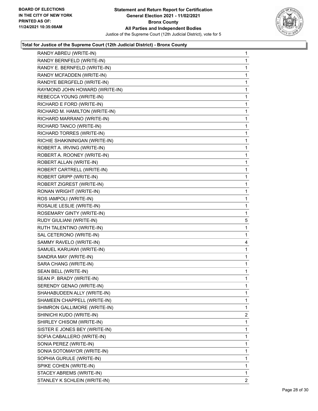

| RANDY ABREU (WRITE-IN)         | 1            |
|--------------------------------|--------------|
| RANDY BERNFELD (WRITE-IN)      | 1            |
| RANDY E. BERNFELD (WRITE-IN)   | 1            |
| RANDY MCFADDEN (WRITE-IN)      | 1            |
| RANDYE BERGFELD (WRITE-IN)     | 1            |
| RAYMOND JOHN HOWARD (WRITE-IN) | 1            |
| REBECCA YOUNG (WRITE-IN)       | 1            |
| RICHARD E FORD (WRITE-IN)      | 1            |
| RICHARD M. HAMILTON (WRITE-IN) | 1            |
| RICHARD MARRANO (WRITE-IN)     | 1            |
| RICHARD TANCO (WRITE-IN)       | 1            |
| RICHARD TORRES (WRITE-IN)      | 1            |
| RICHIE SHAKININIGAN (WRITE-IN) | 1            |
| ROBERT A. IRVING (WRITE-IN)    | 1            |
| ROBERT A. ROONEY (WRITE-IN)    | 1            |
| ROBERT ALLAN (WRITE-IN)        | 1            |
| ROBERT CARTRELL (WRITE-IN)     | 1            |
| ROBERT GRIPP (WRITE-IN)        | 1            |
| ROBERT ZIGREST (WRITE-IN)      | 1            |
| RONAN WRIGHT (WRITE-IN)        | 1            |
| ROS IAMPOLI (WRITE-IN)         | 1            |
| ROSALIE LESLIE (WRITE-IN)      | 1            |
| ROSEMARY GINTY (WRITE-IN)      | 1            |
| RUDY GIULIANI (WRITE-IN)       | 5            |
| RUTH TALENTINO (WRITE-IN)      | 1            |
| SAL CETERONO (WRITE-IN)        | 1            |
| SAMMY RAVELO (WRITE-IN)        | 4            |
| SAMUEL KARUAWI (WRITE-IN)      | 1            |
| SANDRA MAY (WRITE-IN)          | 1            |
| SARA CHANG (WRITE-IN)          | $\mathbf{1}$ |
| SEAN BELL (WRITE-IN)           | 1            |
| SEAN P. BRADY (WRITE-IN)       | 1            |
| SERENDY GENAO (WRITE-IN)       | 1            |
| SHAHABUDEEN ALLY (WRITE-IN)    | 1            |
| SHAMEEN CHAPPELL (WRITE-IN)    | 1            |
| SHIMRON GALLIMORE (WRITE-IN)   | 1            |
| SHINICHI KUDO (WRITE-IN)       | 2            |
| SHIRLEY CHISOM (WRITE-IN)      | 1            |
| SISTER E JONES BEY (WRITE-IN)  | 1            |
| SOFIA CABALLERO (WRITE-IN)     | 1            |
| SONIA PEREZ (WRITE-IN)         | 1            |
| SONIA SOTOMAYOR (WRITE-IN)     | 1            |
| SOPHIA GURULE (WRITE-IN)       | 1            |
| SPIKE COHEN (WRITE-IN)         | 1            |
| STACEY ABREMS (WRITE-IN)       | 1            |
| STANLEY K SCHLEIN (WRITE-IN)   | 2            |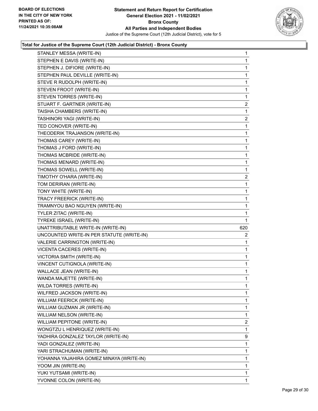

|                                           | 1              |
|-------------------------------------------|----------------|
| STEPHEN E DAVIS (WRITE-IN)                | 1              |
| STEPHEN J. DIFIORE (WRITE-IN)             | 1              |
| STEPHEN PAUL DEVILLE (WRITE-IN)           | 1              |
| STEVE R RUDOLPH (WRITE-IN)                | 1              |
| STEVEN FROOT (WRITE-IN)                   | 1              |
| STEVEN TORRES (WRITE-IN)                  | 1              |
| STUART F. GARTNER (WRITE-IN)              | $\overline{2}$ |
| TAISHA CHAMBERS (WRITE-IN)                | 1              |
| TASHINORI YAGI (WRITE-IN)                 | 2              |
| TED CONOVER (WRITE-IN)                    | 1              |
| THEODERIK TRAJANSON (WRITE-IN)            | 1              |
| THOMAS CAREY (WRITE-IN)                   | 1              |
| THOMAS J FORD (WRITE-IN)                  | 1              |
| THOMAS MCBRIDE (WRITE-IN)                 | 1              |
| THOMAS MENARD (WRITE-IN)                  | 1              |
| THOMAS SOWELL (WRITE-IN)                  | 1              |
| TIMOTHY O'HARA (WRITE-IN)                 | 2              |
| TOM DERIRAN (WRITE-IN)                    | 1              |
| TONY WHITE (WRITE-IN)                     | 1              |
| TRACY FREERICK (WRITE-IN)                 | 1              |
| TRAMNYOU BAO NGUYEN (WRITE-IN)            | 1              |
| TYLER ZITAC (WRITE-IN)                    | 1              |
| TYREKE ISRAEL (WRITE-IN)                  | 1              |
| UNATTRIBUTABLE WRITE-IN (WRITE-IN)        | 620            |
| UNCOUNTED WRITE-IN PER STATUTE (WRITE-IN) | $\overline{2}$ |
| VALERIE CARRINGTON (WRITE-IN)             | 1              |
| VICENTA CACERES (WRITE-IN)                | 1              |
| VICTORIA SMITH (WRITE-IN)                 | 1              |
| VINCENT CUTIGNOLA (WRITE-IN)              | 1              |
| WALLACE JEAN (WRITE-IN)                   | 1              |
|                                           | 1              |
| WANDA MAJETTE (WRITE-IN)                  |                |
| WILDA TORRES (WRITE-IN)                   | 1              |
| WILFRED JACKSON (WRITE-IN)                | 1              |
| WILLIAM FEERICK (WRITE-IN)                | 1              |
| WILLIAM GUZMAN JR (WRITE-IN)              | 1              |
| WILLIAM NELSON (WRITE-IN)                 | 1              |
| WILLIAM PEPITONE (WRITE-IN)               | 2              |
| WONGTZU L HENRIQUEZ (WRITE-IN)            | 1              |
| YADHIRA GONZALEZ TAYLOR (WRITE-IN)        | 9              |
| YADI GONZALEZ (WRITE-IN)                  | 1              |
| YARI STRACHUMAN (WRITE-IN)                | 1              |
| YOHANNA YAJAHIRA GOMEZ MINAYA (WRITE-IN)  | 1              |
| YOOM JIN (WRITE-IN)                       | 1              |
| YUKI YUTSAMI (WRITE-IN)                   | 1              |